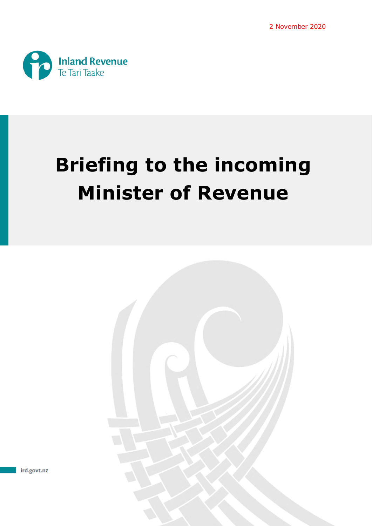

# **Briefing to the incoming Minister of Revenue**



ird.govt.nz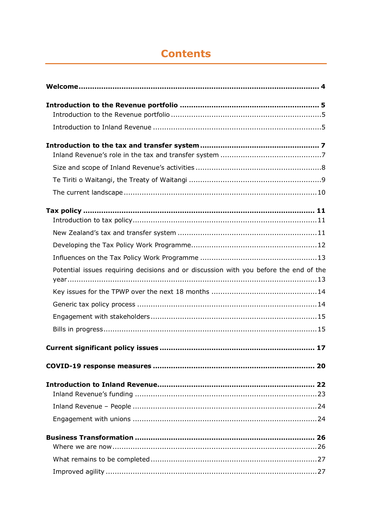# **Contents**

| Potential issues requiring decisions and or discussion with you before the end of the |
|---------------------------------------------------------------------------------------|
|                                                                                       |
|                                                                                       |
|                                                                                       |
|                                                                                       |
|                                                                                       |
|                                                                                       |
|                                                                                       |
|                                                                                       |
|                                                                                       |
|                                                                                       |
|                                                                                       |
|                                                                                       |
|                                                                                       |
|                                                                                       |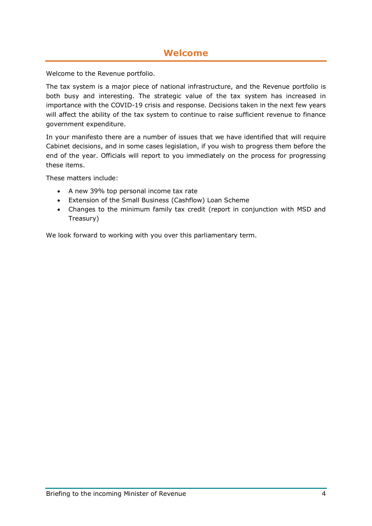## **Welcome**

<span id="page-3-0"></span>Welcome to the Revenue portfolio.

The tax system is a major piece of national infrastructure, and the Revenue portfolio is both busy and interesting. The strategic value of the tax system has increased in importance with the COVID-19 crisis and response. Decisions taken in the next few years will affect the ability of the tax system to continue to raise sufficient revenue to finance government expenditure.

In your manifesto there are a number of issues that we have identified that will require Cabinet decisions, and in some cases legislation, if you wish to progress them before the end of the year. Officials will report to you immediately on the process for progressing these items.

These matters include:

- A new 39% top personal income tax rate
- Extension of the Small Business (Cashflow) Loan Scheme
- Changes to the minimum family tax credit (report in conjunction with MSD and Treasury)

We look forward to working with you over this parliamentary term.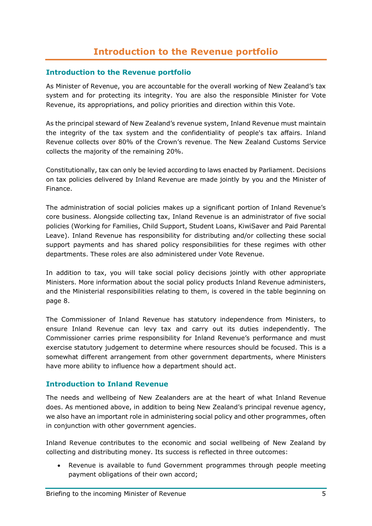## **Introduction to the Revenue portfolio**

#### <span id="page-4-1"></span><span id="page-4-0"></span>**Introduction to the Revenue portfolio**

As Minister of Revenue, you are accountable for the overall working of New Zealand's tax system and for protecting its integrity. You are also the responsible Minister for Vote Revenue, its appropriations, and policy priorities and direction within this Vote.

As the principal steward of New Zealand's revenue system, Inland Revenue must maintain the integrity of the tax system and the confidentiality of people's tax affairs. Inland Revenue collects over 80% of the Crown's revenue. The New Zealand Customs Service collects the majority of the remaining 20%.

Constitutionally, tax can only be levied according to laws enacted by Parliament. Decisions on tax policies delivered by Inland Revenue are made jointly by you and the Minister of Finance.

The administration of social policies makes up a significant portion of Inland Revenue's core business. Alongside collecting tax, Inland Revenue is an administrator of five social policies (Working for Families, Child Support, Student Loans, KiwiSaver and Paid Parental Leave). Inland Revenue has responsibility for distributing and/or collecting these social support payments and has shared policy responsibilities for these regimes with other departments. These roles are also administered under Vote Revenue.

In addition to tax, you will take social policy decisions jointly with other appropriate Ministers. More information about the social policy products Inland Revenue administers, and the Ministerial responsibilities relating to them, is covered in the table beginning on page 8.

The Commissioner of Inland Revenue has statutory independence from Ministers, to ensure Inland Revenue can levy tax and carry out its duties independently. The Commissioner carries prime responsibility for Inland Revenue's performance and must exercise statutory judgement to determine where resources should be focused. This is a somewhat different arrangement from other government departments, where Ministers have more ability to influence how a department should act.

## <span id="page-4-2"></span>**Introduction to Inland Revenue**

The needs and wellbeing of New Zealanders are at the heart of what Inland Revenue does. As mentioned above, in addition to being New Zealand's principal revenue agency, we also have an important role in administering social policy and other programmes, often in conjunction with other government agencies.

Inland Revenue contributes to the economic and social wellbeing of New Zealand by collecting and distributing money. Its success is reflected in three outcomes:

• Revenue is available to fund Government programmes through people meeting payment obligations of their own accord;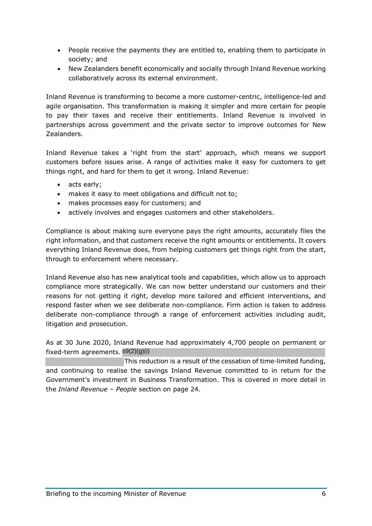- People receive the payments they are entitled to, enabling them to participate in society; and
- New Zealanders benefit economically and socially through Inland Revenue working collaboratively across its external environment.

Inland Revenue is transforming to become a more customer-centric, intelligence-led and agile organisation. This transformation is making it simpler and more certain for people to pay their taxes and receive their entitlements. Inland Revenue is involved in partnerships across government and the private sector to improve outcomes for New Zealanders.

Inland Revenue takes a 'right from the start' approach, which means we support customers before issues arise. A range of activities make it easy for customers to get things right, and hard for them to get it wrong. Inland Revenue:

- acts early;
- makes it easy to meet obligations and difficult not to;
- makes processes easy for customers; and
- actively involves and engages customers and other stakeholders.

Compliance is about making sure everyone pays the right amounts, accurately files the right information, and that customers receive the right amounts or entitlements. It covers everything Inland Revenue does, from helping customers get things right from the start, through to enforcement where necessary.

Inland Revenue also has new analytical tools and capabilities, which allow us to approach compliance more strategically. We can now better understand our customers and their reasons for not getting it right, develop more tailored and efficient interventions, and respond faster when we see deliberate non-compliance. Firm action is taken to address deliberate non-compliance through a range of enforcement activities including audit, litigation and prosecution.

As at 30 June 2020, Inland Revenue had approximately 4,700 people on permanent or fixed-term agreements. s9(2)(g)(i)

This reduction is a result of the cessation of time-limited funding, and continuing to realise the savings Inland Revenue committed to in return for the Government's investment in Business Transformation. This is covered in more detail in the *Inland Revenue – People* section on page 24.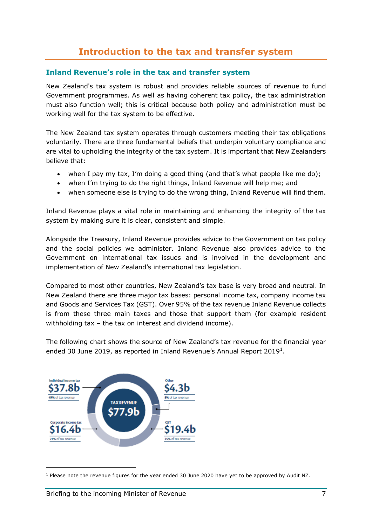## **Introduction to the tax and transfer system**

#### <span id="page-6-1"></span><span id="page-6-0"></span>**Inland Revenue's role in the tax and transfer system**

New Zealand's tax system is robust and provides reliable sources of revenue to fund Government programmes. As well as having coherent tax policy, the tax administration must also function well; this is critical because both policy and administration must be working well for the tax system to be effective.

The New Zealand tax system operates through customers meeting their tax obligations voluntarily. There are three fundamental beliefs that underpin voluntary compliance and are vital to upholding the integrity of the tax system. It is important that New Zealanders believe that:

- when I pay my tax, I'm doing a good thing (and that's what people like me do);
- when I'm trying to do the right things, Inland Revenue will help me; and
- when someone else is trying to do the wrong thing, Inland Revenue will find them.

Inland Revenue plays a vital role in maintaining and enhancing the integrity of the tax system by making sure it is clear, consistent and simple.

Alongside the Treasury, Inland Revenue provides advice to the Government on tax policy and the social policies we administer. Inland Revenue also provides advice to the Government on international tax issues and is involved in the development and implementation of New Zealand's international tax legislation.

Compared to most other countries, New Zealand's tax base is very broad and neutral. In New Zealand there are three major tax bases: personal income tax, company income tax and Goods and Services Tax (GST). Over 95% of the tax revenue Inland Revenue collects is from these three main taxes and those that support them (for example resident withholding tax – the tax on interest and dividend income).

The following chart shows the source of New Zealand's tax revenue for the financial year ended 30 June 20[1](#page-6-3)9, as reported in Inland Revenue's Annual Report 2019<sup>1</sup>.



<span id="page-6-3"></span><span id="page-6-2"></span><sup>1</sup> Please note the revenue figures for the year ended 30 June 2020 have yet to be approved by Audit NZ.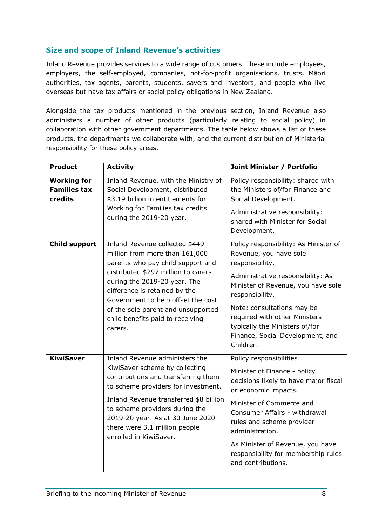## **Size and scope of Inland Revenue's activities**

Inland Revenue provides services to a wide range of customers. These include employees, employers, the self-employed, companies, not-for-profit organisations, trusts, Māori authorities, tax agents, parents, students, savers and investors, and people who live overseas but have tax affairs or social policy obligations in New Zealand.

Alongside the tax products mentioned in the previous section, Inland Revenue also administers a number of other products (particularly relating to social policy) in collaboration with other government departments. The table below shows a list of these products, the departments we collaborate with, and the current distribution of Ministerial responsibility for these policy areas.

| <b>Product</b>                                       | <b>Activity</b>                                                                                                                                                                                                                                                                                                                          | Joint Minister / Portfolio                                                                                                                                                                                                                                                                                                              |
|------------------------------------------------------|------------------------------------------------------------------------------------------------------------------------------------------------------------------------------------------------------------------------------------------------------------------------------------------------------------------------------------------|-----------------------------------------------------------------------------------------------------------------------------------------------------------------------------------------------------------------------------------------------------------------------------------------------------------------------------------------|
| <b>Working for</b><br><b>Families tax</b><br>credits | Inland Revenue, with the Ministry of<br>Social Development, distributed<br>\$3.19 billion in entitlements for<br>Working for Families tax credits<br>during the 2019-20 year.                                                                                                                                                            | Policy responsibility: shared with<br>the Ministers of/for Finance and<br>Social Development.<br>Administrative responsibility:<br>shared with Minister for Social<br>Development.                                                                                                                                                      |
| <b>Child support</b>                                 | Inland Revenue collected \$449<br>million from more than 161,000<br>parents who pay child support and<br>distributed \$297 million to carers<br>during the 2019-20 year. The<br>difference is retained by the<br>Government to help offset the cost<br>of the sole parent and unsupported<br>child benefits paid to receiving<br>carers. | Policy responsibility: As Minister of<br>Revenue, you have sole<br>responsibility.<br>Administrative responsibility: As<br>Minister of Revenue, you have sole<br>responsibility.<br>Note: consultations may be<br>required with other Ministers -<br>typically the Ministers of/for<br>Finance, Social Development, and<br>Children.    |
| <b>KiwiSaver</b>                                     | Inland Revenue administers the<br>KiwiSaver scheme by collecting<br>contributions and transferring them<br>to scheme providers for investment.<br>Inland Revenue transferred \$8 billion<br>to scheme providers during the<br>2019-20 year. As at 30 June 2020<br>there were 3.1 million people<br>enrolled in KiwiSaver.                | Policy responsibilities:<br>Minister of Finance - policy<br>decisions likely to have major fiscal<br>or economic impacts.<br>Minister of Commerce and<br>Consumer Affairs - withdrawal<br>rules and scheme provider<br>administration.<br>As Minister of Revenue, you have<br>responsibility for membership rules<br>and contributions. |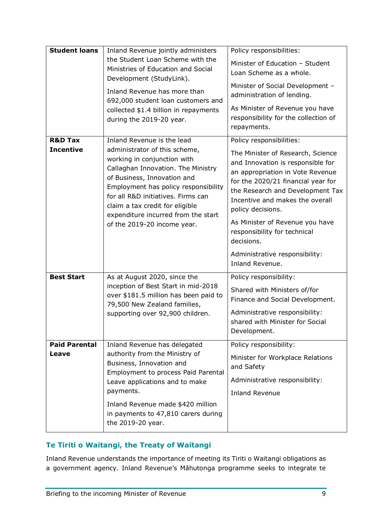| <b>Student loans</b>                                                                                                                                                                                                                          | Inland Revenue jointly administers                                                                                                                                                                                                                                                        | Policy responsibilities:                                                                                                                                                                                                                     |  |
|-----------------------------------------------------------------------------------------------------------------------------------------------------------------------------------------------------------------------------------------------|-------------------------------------------------------------------------------------------------------------------------------------------------------------------------------------------------------------------------------------------------------------------------------------------|----------------------------------------------------------------------------------------------------------------------------------------------------------------------------------------------------------------------------------------------|--|
| the Student Loan Scheme with the<br>Ministries of Education and Social<br>Development (StudyLink).<br>Inland Revenue has more than<br>692,000 student loan customers and<br>collected \$1.4 billion in repayments<br>during the 2019-20 year. | Minister of Education - Student<br>Loan Scheme as a whole.<br>Minister of Social Development -<br>administration of lending.                                                                                                                                                              |                                                                                                                                                                                                                                              |  |
|                                                                                                                                                                                                                                               | As Minister of Revenue you have<br>responsibility for the collection of<br>repayments.                                                                                                                                                                                                    |                                                                                                                                                                                                                                              |  |
| <b>R&amp;D Tax</b>                                                                                                                                                                                                                            | Inland Revenue is the lead                                                                                                                                                                                                                                                                | Policy responsibilities:                                                                                                                                                                                                                     |  |
| <b>Incentive</b>                                                                                                                                                                                                                              | administrator of this scheme,<br>working in conjunction with<br>Callaghan Innovation. The Ministry<br>of Business, Innovation and<br>Employment has policy responsibility<br>for all R&D initiatives. Firms can<br>claim a tax credit for eligible<br>expenditure incurred from the start | The Minister of Research, Science<br>and Innovation is responsible for<br>an appropriation in Vote Revenue<br>for the 2020/21 financial year for<br>the Research and Development Tax<br>Incentive and makes the overall<br>policy decisions. |  |
| of the 2019-20 income year.                                                                                                                                                                                                                   | As Minister of Revenue you have<br>responsibility for technical<br>decisions.                                                                                                                                                                                                             |                                                                                                                                                                                                                                              |  |
|                                                                                                                                                                                                                                               |                                                                                                                                                                                                                                                                                           | Administrative responsibility:<br>Inland Revenue.                                                                                                                                                                                            |  |
| <b>Best Start</b>                                                                                                                                                                                                                             | As at August 2020, since the                                                                                                                                                                                                                                                              | Policy responsibility:                                                                                                                                                                                                                       |  |
| inception of Best Start in mid-2018                                                                                                                                                                                                           | over \$181.5 million has been paid to<br>79,500 New Zealand families,                                                                                                                                                                                                                     | Shared with Ministers of/for<br>Finance and Social Development.                                                                                                                                                                              |  |
| supporting over 92,900 children.                                                                                                                                                                                                              |                                                                                                                                                                                                                                                                                           | Administrative responsibility:<br>shared with Minister for Social<br>Development.                                                                                                                                                            |  |
| <b>Paid Parental</b>                                                                                                                                                                                                                          | Inland Revenue has delegated                                                                                                                                                                                                                                                              | Policy responsibility:                                                                                                                                                                                                                       |  |
| authority from the Ministry of<br>Leave<br>Business, Innovation and<br>Employment to process Paid Parental<br>Leave applications and to make<br>payments.                                                                                     |                                                                                                                                                                                                                                                                                           | Minister for Workplace Relations<br>and Safety                                                                                                                                                                                               |  |
|                                                                                                                                                                                                                                               | Administrative responsibility:<br><b>Inland Revenue</b>                                                                                                                                                                                                                                   |                                                                                                                                                                                                                                              |  |
|                                                                                                                                                                                                                                               | Inland Revenue made \$420 million<br>in payments to 47,810 carers during<br>the 2019-20 year.                                                                                                                                                                                             |                                                                                                                                                                                                                                              |  |

## <span id="page-8-0"></span>**Te Tiriti o Waitangi, the Treaty of Waitangi**

Inland Revenue understands the importance of meeting its Tiriti o Waitangi obligations as a government agency. Inland Revenue's Māhutonga programme seeks to integrate te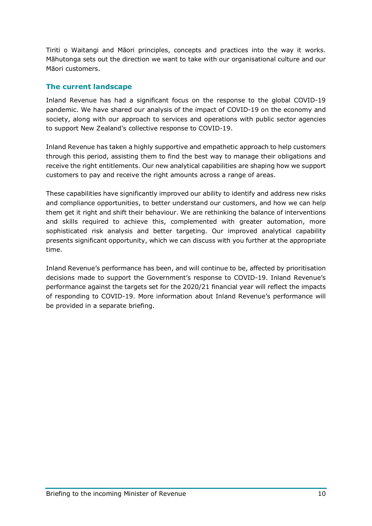Tiriti o Waitangi and Māori principles, concepts and practices into the way it works. Māhutonga sets out the direction we want to take with our organisational culture and our Māori customers.

## <span id="page-9-0"></span>**The current landscape**

Inland Revenue has had a significant focus on the response to the global COVID-19 pandemic. We have shared our analysis of the impact of COVID-19 on the economy and society, along with our approach to services and operations with public sector agencies to support New Zealand's collective response to COVID-19.

Inland Revenue has taken a highly supportive and empathetic approach to help customers through this period, assisting them to find the best way to manage their obligations and receive the right entitlements. Our new analytical capabilities are shaping how we support customers to pay and receive the right amounts across a range of areas.

These capabilities have significantly improved our ability to identify and address new risks and compliance opportunities, to better understand our customers, and how we can help them get it right and shift their behaviour. We are rethinking the balance of interventions and skills required to achieve this, complemented with greater automation, more sophisticated risk analysis and better targeting. Our improved analytical capability presents significant opportunity, which we can discuss with you further at the appropriate time.

Inland Revenue's performance has been, and will continue to be, affected by prioritisation decisions made to support the Government's response to COVID-19. Inland Revenue's performance against the targets set for the 2020/21 financial year will reflect the impacts of responding to COVID-19. More information about Inland Revenue's performance will be provided in a separate briefing.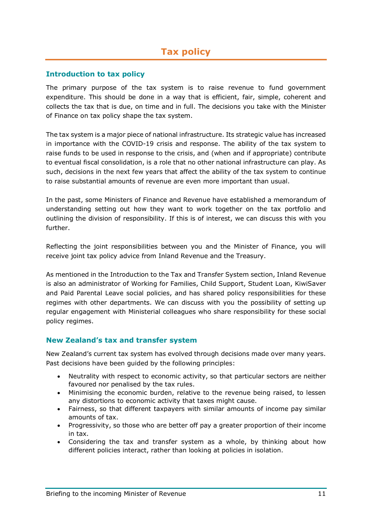#### <span id="page-10-1"></span><span id="page-10-0"></span>**Introduction to tax policy**

The primary purpose of the tax system is to raise revenue to fund government expenditure. This should be done in a way that is efficient, fair, simple, coherent and collects the tax that is due, on time and in full. The decisions you take with the Minister of Finance on tax policy shape the tax system.

The tax system is a major piece of national infrastructure. Its strategic value has increased in importance with the COVID-19 crisis and response. The ability of the tax system to raise funds to be used in response to the crisis, and (when and if appropriate) contribute to eventual fiscal consolidation, is a role that no other national infrastructure can play. As such, decisions in the next few years that affect the ability of the tax system to continue to raise substantial amounts of revenue are even more important than usual.

In the past, some Ministers of Finance and Revenue have established a memorandum of understanding setting out how they want to work together on the tax portfolio and outlining the division of responsibility. If this is of interest, we can discuss this with you further.

Reflecting the joint responsibilities between you and the Minister of Finance, you will receive joint tax policy advice from Inland Revenue and the Treasury.

As mentioned in the Introduction to the Tax and Transfer System section, Inland Revenue is also an administrator of Working for Families, Child Support, Student Loan, KiwiSaver and Paid Parental Leave social policies, and has shared policy responsibilities for these regimes with other departments. We can discuss with you the possibility of setting up regular engagement with Ministerial colleagues who share responsibility for these social policy regimes.

## <span id="page-10-2"></span>**New Zealand's tax and transfer system**

New Zealand's current tax system has evolved through decisions made over many years. Past decisions have been quided by the following principles:

- Neutrality with respect to economic activity, so that particular sectors are neither favoured nor penalised by the tax rules.
- Minimising the economic burden, relative to the revenue being raised, to lessen any distortions to economic activity that taxes might cause.
- Fairness, so that different taxpayers with similar amounts of income pay similar amounts of tax.
- Progressivity, so those who are better off pay a greater proportion of their income in tax.
- Considering the tax and transfer system as a whole, by thinking about how different policies interact, rather than looking at policies in isolation.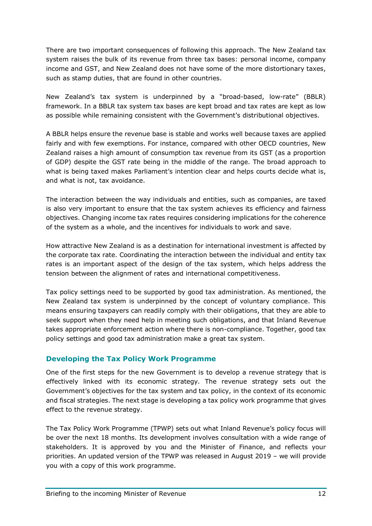There are two important consequences of following this approach. The New Zealand tax system raises the bulk of its revenue from three tax bases: personal income, company income and GST, and New Zealand does not have some of the more distortionary taxes, such as stamp duties, that are found in other countries.

New Zealand's tax system is underpinned by a "broad-based, low-rate" (BBLR) framework. In a BBLR tax system tax bases are kept broad and tax rates are kept as low as possible while remaining consistent with the Government's distributional objectives. 

A BBLR helps ensure the revenue base is stable and works well because taxes are applied fairly and with few exemptions. For instance, compared with other OECD countries, New Zealand raises a high amount of consumption tax revenue from its GST (as a proportion of GDP) despite the GST rate being in the middle of the range. The broad approach to what is being taxed makes Parliament's intention clear and helps courts decide what is, and what is not, tax avoidance.

The interaction between the way individuals and entities, such as companies, are taxed is also very important to ensure that the tax system achieves its efficiency and fairness objectives. Changing income tax rates requires considering implications for the coherence of the system as a whole, and the incentives for individuals to work and save.

How attractive New Zealand is as a destination for international investment is affected by the corporate tax rate. Coordinating the interaction between the individual and entity tax rates is an important aspect of the design of the tax system, which helps address the tension between the alignment of rates and international competitiveness.

Tax policy settings need to be supported by good tax administration. As mentioned, the New Zealand tax system is underpinned by the concept of voluntary compliance. This means ensuring taxpayers can readily comply with their obligations, that they are able to seek support when they need help in meeting such obligations, and that Inland Revenue takes appropriate enforcement action where there is non-compliance. Together, good tax policy settings and good tax administration make a great tax system.

## <span id="page-11-0"></span>**Developing the Tax Policy Work Programme**

One of the first steps for the new Government is to develop a revenue strategy that is effectively linked with its economic strategy. The revenue strategy sets out the Government's objectives for the tax system and tax policy, in the context of its economic and fiscal strategies. The next stage is developing a tax policy work programme that gives effect to the revenue strategy.

The Tax Policy Work Programme (TPWP) sets out what Inland Revenue's policy focus will be over the next 18 months. Its development involves consultation with a wide range of stakeholders. It is approved by you and the Minister of Finance, and reflects your priorities. An updated version of the TPWP was released in August 2019 – we will provide you with a copy of this work programme.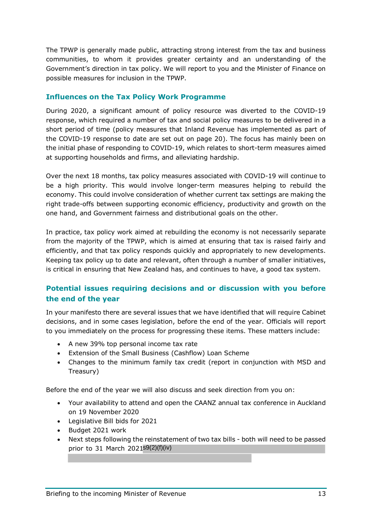The TPWP is generally made public, attracting strong interest from the tax and business communities, to whom it provides greater certainty and an understanding of the Government's direction in tax policy. We will report to you and the Minister of Finance on possible measures for inclusion in the TPWP.

## <span id="page-12-0"></span>**Influences on the Tax Policy Work Programme**

During 2020, a significant amount of policy resource was diverted to the COVID-19 response, which required a number of tax and social policy measures to be delivered in a short period of time (policy measures that Inland Revenue has implemented as part of the COVID-19 response to date are set out on page 20). The focus has mainly been on the initial phase of responding to COVID-19, which relates to short-term measures aimed at supporting households and firms, and alleviating hardship.

Over the next 18 months, tax policy measures associated with COVID-19 will continue to be a high priority. This would involve longer-term measures helping to rebuild the economy. This could involve consideration of whether current tax settings are making the right trade-offs between supporting economic efficiency, productivity and growth on the one hand, and Government fairness and distributional goals on the other.

In practice, tax policy work aimed at rebuilding the economy is not necessarily separate from the majority of the TPWP, which is aimed at ensuring that tax is raised fairly and efficiently, and that tax policy responds quickly and appropriately to new developments. Keeping tax policy up to date and relevant, often through a number of smaller initiatives, is critical in ensuring that New Zealand has, and continues to have, a good tax system.

## <span id="page-12-1"></span>**Potential issues requiring decisions and or discussion with you before the end of the year**

In your manifesto there are several issues that we have identified that will require Cabinet decisions, and in some cases legislation, before the end of the year. Officials will report to you immediately on the process for progressing these items. These matters include:

- A new 39% top personal income tax rate
- Extension of the Small Business (Cashflow) Loan Scheme
- Changes to the minimum family tax credit (report in conjunction with MSD and Treasury)

Before the end of the year we will also discuss and seek direction from you on:

- Your availability to attend and open the CAANZ annual tax conference in Auckland on 19 November 2020
- Legislative Bill bids for 2021
- Budget 2021 work
- Next steps following the reinstatement of two tax bills both will need to be passed prior to 31 March 2021<sup>s9(2)(f)(iv)</sup>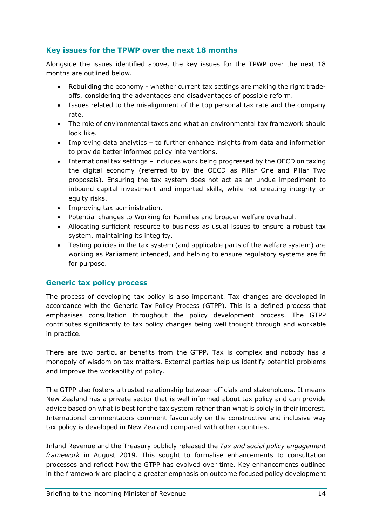## <span id="page-13-0"></span>**Key issues for the TPWP over the next 18 months**

Alongside the issues identified above, the key issues for the TPWP over the next 18 months are outlined below.

- Rebuilding the economy whether current tax settings are making the right tradeoffs, considering the advantages and disadvantages of possible reform.
- Issues related to the misalignment of the top personal tax rate and the company rate.
- The role of environmental taxes and what an environmental tax framework should look like.
- Improving data analytics to further enhance insights from data and information to provide better informed policy interventions.
- International tax settings includes work being progressed by the OECD on taxing the digital economy (referred to by the OECD as Pillar One and Pillar Two proposals). Ensuring the tax system does not act as an undue impediment to inbound capital investment and imported skills, while not creating integrity or equity risks.
- Improving tax administration.
- Potential changes to Working for Families and broader welfare overhaul.
- Allocating sufficient resource to business as usual issues to ensure a robust tax system, maintaining its integrity.
- Testing policies in the tax system (and applicable parts of the welfare system) are working as Parliament intended, and helping to ensure regulatory systems are fit for purpose.

## <span id="page-13-1"></span>**Generic tax policy process**

The process of developing tax policy is also important. Tax changes are developed in accordance with the Generic Tax Policy Process (GTPP). This is a defined process that emphasises consultation throughout the policy development process. The GTPP contributes significantly to tax policy changes being well thought through and workable in practice.

There are two particular benefits from the GTPP. Tax is complex and nobody has a monopoly of wisdom on tax matters. External parties help us identify potential problems and improve the workability of policy.

The GTPP also fosters a trusted relationship between officials and stakeholders. It means New Zealand has a private sector that is well informed about tax policy and can provide advice based on what is best for the tax system rather than what is solely in their interest. International commentators comment favourably on the constructive and inclusive way tax policy is developed in New Zealand compared with other countries.

Inland Revenue and the Treasury publicly released the *Tax and social policy engagement framework* in August 2019. This sought to formalise enhancements to consultation processes and reflect how the GTPP has evolved over time. Key enhancements outlined in the framework are placing a greater emphasis on outcome focused policy development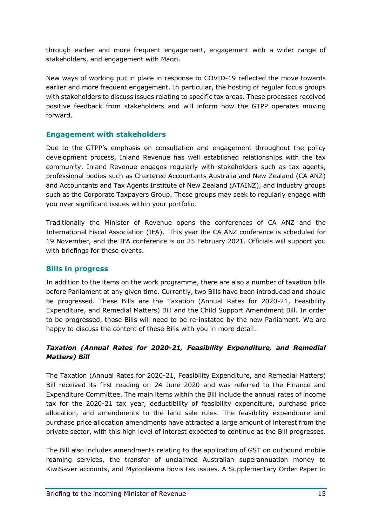through earlier and more frequent engagement, engagement with a wider range of stakeholders, and engagement with Māori.

New ways of working put in place in response to COVID-19 reflected the move towards earlier and more frequent engagement. In particular, the hosting of regular focus groups with stakeholders to discuss issues relating to specific tax areas. These processes received positive feedback from stakeholders and will inform how the GTPP operates moving forward.

## <span id="page-14-0"></span>**Engagement with stakeholders**

Due to the GTPP's emphasis on consultation and engagement throughout the policy development process, Inland Revenue has well established relationships with the tax community. Inland Revenue engages regularly with stakeholders such as tax agents, professional bodies such as Chartered Accountants Australia and New Zealand (CA ANZ) and Accountants and Tax Agents Institute of New Zealand (ATAINZ), and industry groups such as the Corporate Taxpayers Group. These groups may seek to regularly engage with you over significant issues within your portfolio.

Traditionally the Minister of Revenue opens the conferences of CA ANZ and the International Fiscal Association (IFA). This year the CA ANZ conference is scheduled for 19 November, and the IFA conference is on 25 February 2021. Officials will support you with briefings for these events.

#### <span id="page-14-1"></span>**Bills in progress**

In addition to the items on the work programme, there are also a number of taxation bills before Parliament at any given time. Currently, two Bills have been introduced and should be progressed. These Bills are the Taxation (Annual Rates for 2020-21, Feasibility Expenditure, and Remedial Matters) Bill and the Child Support Amendment Bill. In order to be progressed, these Bills will need to be re-instated by the new Parliament. We are happy to discuss the content of these Bills with you in more detail.

## *Taxation (Annual Rates for 2020-21, Feasibility Expenditure, and Remedial Matters) Bill*

The Taxation (Annual Rates for 2020-21, Feasibility Expenditure, and Remedial Matters) Bill received its first reading on 24 June 2020 and was referred to the Finance and Expenditure Committee. The main items within the Bill include the annual rates of income tax for the 2020-21 tax year, deductibility of feasibility expenditure, purchase price allocation, and amendments to the land sale rules. The feasibility expenditure and purchase price allocation amendments have attracted a large amount of interest from the private sector, with this high level of interest expected to continue as the Bill progresses.

The Bill also includes amendments relating to the application of GST on outbound mobile roaming services, the transfer of unclaimed Australian superannuation money to KiwiSaver accounts, and Mycoplasma bovis tax issues. A Supplementary Order Paper to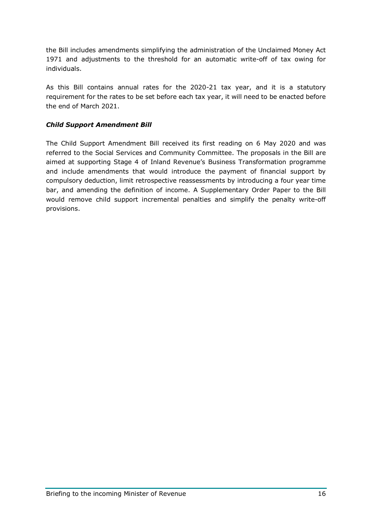the Bill includes amendments simplifying the administration of the Unclaimed Money Act 1971 and adjustments to the threshold for an automatic write-off of tax owing for individuals.

As this Bill contains annual rates for the 2020-21 tax year, and it is a statutory requirement for the rates to be set before each tax year, it will need to be enacted before the end of March 2021.

#### *Child Support Amendment Bill*

The Child Support Amendment Bill received its first reading on 6 May 2020 and was referred to the Social Services and Community Committee. The proposals in the Bill are aimed at supporting Stage 4 of Inland Revenue's Business Transformation programme and include amendments that would introduce the payment of financial support by compulsory deduction, limit retrospective reassessments by introducing a four year time bar, and amending the definition of income. A Supplementary Order Paper to the Bill would remove child support incremental penalties and simplify the penalty write-off provisions.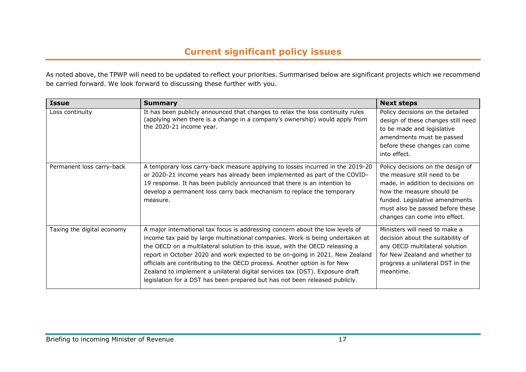As noted above, the TPWP will need to be updated to reflect your priorities. Summarised below are significant projects which we recommend be carried forward. We look forward to discussing these further with you.

<span id="page-16-0"></span>

| <b>Issue</b>               | <b>Summary</b>                                                                                                                                                                                                                                                                                                                                                                                                                                                                                                                                                             | <b>Next steps</b>                                                                                                                                                                                                                          |
|----------------------------|----------------------------------------------------------------------------------------------------------------------------------------------------------------------------------------------------------------------------------------------------------------------------------------------------------------------------------------------------------------------------------------------------------------------------------------------------------------------------------------------------------------------------------------------------------------------------|--------------------------------------------------------------------------------------------------------------------------------------------------------------------------------------------------------------------------------------------|
| Loss continuity            | It has been publicly announced that changes to relax the loss continuity rules<br>(applying when there is a change in a company's ownership) would apply from<br>the 2020-21 income year.                                                                                                                                                                                                                                                                                                                                                                                  | Policy decisions on the detailed<br>design of these changes still need<br>to be made and legislative<br>amendments must be passed<br>before these changes can come<br>into effect.                                                         |
| Permanent loss carry-back  | A temporary loss carry-back measure applying to losses incurred in the 2019-20<br>or 2020-21 income years has already been implemented as part of the COVID-<br>19 response. It has been publicly announced that there is an intention to<br>develop a permanent loss carry back mechanism to replace the temporary<br>measure.                                                                                                                                                                                                                                            | Policy decisions on the design of<br>the measure still need to be<br>made, in addition to decisions on<br>how the measure should be<br>funded. Legislative amendments<br>must also be passed before these<br>changes can come into effect. |
| Taxing the digital economy | A major international tax focus is addressing concern about the low levels of<br>income tax paid by large multinational companies. Work is being undertaken at<br>the OECD on a multilateral solution to this issue, with the OECD releasing a<br>report in October 2020 and work expected to be on-going in 2021. New Zealand<br>officials are contributing to the OECD process. Another option is for New<br>Zealand to implement a unilateral digital services tax (DST). Exposure draft<br>legislation for a DST has been prepared but has not been released publicly. | Ministers will need to make a<br>decision about the suitability of<br>any OECD multilateral solution<br>for New Zealand and whether to<br>progress a unilateral DST in the<br>meantime.                                                    |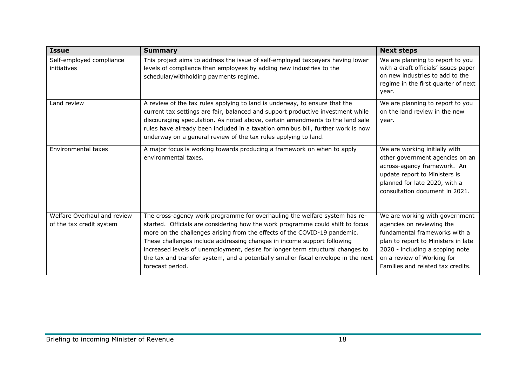| <b>Issue</b>                                            | <b>Summary</b>                                                                                                                                                                                                                                                                                                                                                                                                                                                                                                   | <b>Next steps</b>                                                                                                                                                                                                                         |
|---------------------------------------------------------|------------------------------------------------------------------------------------------------------------------------------------------------------------------------------------------------------------------------------------------------------------------------------------------------------------------------------------------------------------------------------------------------------------------------------------------------------------------------------------------------------------------|-------------------------------------------------------------------------------------------------------------------------------------------------------------------------------------------------------------------------------------------|
| Self-employed compliance<br>initiatives                 | This project aims to address the issue of self-employed taxpayers having lower<br>levels of compliance than employees by adding new industries to the<br>schedular/withholding payments regime.                                                                                                                                                                                                                                                                                                                  | We are planning to report to you<br>with a draft officials' issues paper<br>on new industries to add to the<br>regime in the first quarter of next<br>year.                                                                               |
| Land review                                             | A review of the tax rules applying to land is underway, to ensure that the<br>current tax settings are fair, balanced and support productive investment while<br>discouraging speculation. As noted above, certain amendments to the land sale<br>rules have already been included in a taxation omnibus bill, further work is now<br>underway on a general review of the tax rules applying to land.                                                                                                            | We are planning to report to you<br>on the land review in the new<br>year.                                                                                                                                                                |
| Environmental taxes                                     | A major focus is working towards producing a framework on when to apply<br>environmental taxes.                                                                                                                                                                                                                                                                                                                                                                                                                  | We are working initially with<br>other government agencies on an<br>across-agency framework. An<br>update report to Ministers is<br>planned for late 2020, with a<br>consultation document in 2021.                                       |
| Welfare Overhaul and review<br>of the tax credit system | The cross-agency work programme for overhauling the welfare system has re-<br>started. Officials are considering how the work programme could shift to focus<br>more on the challenges arising from the effects of the COVID-19 pandemic.<br>These challenges include addressing changes in income support following<br>increased levels of unemployment, desire for longer term structural changes to<br>the tax and transfer system, and a potentially smaller fiscal envelope in the next<br>forecast period. | We are working with government<br>agencies on reviewing the<br>fundamental frameworks with a<br>plan to report to Ministers in late<br>2020 - including a scoping note<br>on a review of Working for<br>Families and related tax credits. |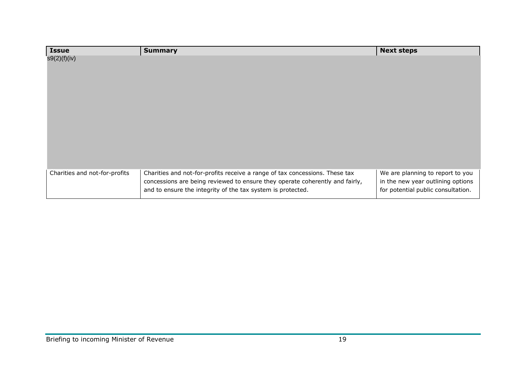| <b>Issue</b>                  | <b>Summary</b>                                                                                                                              | <b>Next steps</b>                                                       |
|-------------------------------|---------------------------------------------------------------------------------------------------------------------------------------------|-------------------------------------------------------------------------|
| s9(2)(f)(iv)                  |                                                                                                                                             |                                                                         |
|                               |                                                                                                                                             |                                                                         |
|                               |                                                                                                                                             |                                                                         |
|                               |                                                                                                                                             |                                                                         |
|                               |                                                                                                                                             |                                                                         |
|                               |                                                                                                                                             |                                                                         |
|                               |                                                                                                                                             |                                                                         |
|                               |                                                                                                                                             |                                                                         |
|                               |                                                                                                                                             |                                                                         |
|                               |                                                                                                                                             |                                                                         |
|                               |                                                                                                                                             |                                                                         |
|                               |                                                                                                                                             |                                                                         |
| Charities and not-for-profits | Charities and not-for-profits receive a range of tax concessions. These tax                                                                 | We are planning to report to you                                        |
|                               | concessions are being reviewed to ensure they operate coherently and fairly,<br>and to ensure the integrity of the tax system is protected. | in the new year outlining options<br>for potential public consultation. |
|                               |                                                                                                                                             |                                                                         |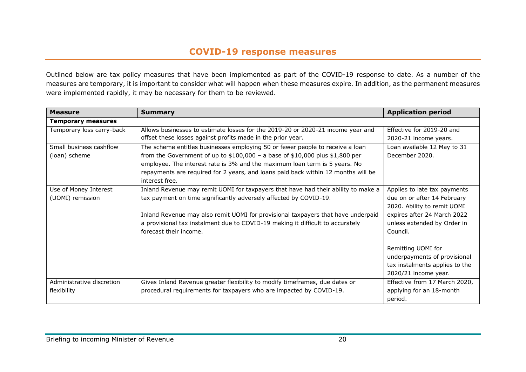## **COVID-19 response measures**

Outlined below are tax policy measures that have been implemented as part of the COVID-19 response to date. As a number of the measures are temporary, it is important to consider what will happen when these measures expire. In addition, as the permanent measures were implemented rapidly, it may be necessary for them to be reviewed.

<span id="page-19-0"></span>

| <b>Measure</b>            | <b>Summary</b>                                                                    | <b>Application period</b>      |  |
|---------------------------|-----------------------------------------------------------------------------------|--------------------------------|--|
| <b>Temporary measures</b> |                                                                                   |                                |  |
| Temporary loss carry-back | Allows businesses to estimate losses for the 2019-20 or 2020-21 income year and   | Effective for 2019-20 and      |  |
|                           | offset these losses against profits made in the prior year.                       | 2020-21 income years.          |  |
| Small business cashflow   | The scheme entitles businesses employing 50 or fewer people to receive a loan     | Loan available 12 May to 31    |  |
| (loan) scheme             | from the Government of up to $$100,000 - a$ base of $$10,000$ plus $$1,800$ per   | December 2020.                 |  |
|                           | employee. The interest rate is 3% and the maximum loan term is 5 years. No        |                                |  |
|                           | repayments are required for 2 years, and loans paid back within 12 months will be |                                |  |
|                           | interest free.                                                                    |                                |  |
| Use of Money Interest     | Inland Revenue may remit UOMI for taxpayers that have had their ability to make a | Applies to late tax payments   |  |
| (UOMI) remission          | tax payment on time significantly adversely affected by COVID-19.                 | due on or after 14 February    |  |
|                           |                                                                                   | 2020. Ability to remit UOMI    |  |
|                           | Inland Revenue may also remit UOMI for provisional taxpayers that have underpaid  | expires after 24 March 2022    |  |
|                           | a provisional tax instalment due to COVID-19 making it difficult to accurately    | unless extended by Order in    |  |
|                           | forecast their income.                                                            | Council.                       |  |
|                           |                                                                                   |                                |  |
|                           |                                                                                   | Remitting UOMI for             |  |
|                           |                                                                                   | underpayments of provisional   |  |
|                           |                                                                                   | tax instalments applies to the |  |
|                           |                                                                                   | 2020/21 income year.           |  |
| Administrative discretion | Gives Inland Revenue greater flexibility to modify timeframes, due dates or       | Effective from 17 March 2020,  |  |
| flexibility               | procedural requirements for taxpayers who are impacted by COVID-19.               | applying for an 18-month       |  |
|                           |                                                                                   | period.                        |  |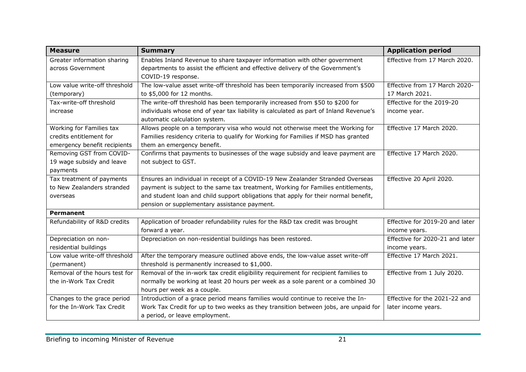| <b>Measure</b>                | <b>Summary</b>                                                                        | <b>Application period</b>       |
|-------------------------------|---------------------------------------------------------------------------------------|---------------------------------|
| Greater information sharing   | Enables Inland Revenue to share taxpayer information with other government            | Effective from 17 March 2020.   |
| across Government             | departments to assist the efficient and effective delivery of the Government's        |                                 |
|                               | COVID-19 response.                                                                    |                                 |
| Low value write-off threshold | The low-value asset write-off threshold has been temporarily increased from \$500     | Effective from 17 March 2020-   |
| (temporary)                   | to \$5,000 for 12 months.                                                             | 17 March 2021.                  |
| Tax-write-off threshold       | The write-off threshold has been temporarily increased from \$50 to \$200 for         | Effective for the 2019-20       |
| increase                      | individuals whose end of year tax liability is calculated as part of Inland Revenue's | income year.                    |
|                               | automatic calculation system.                                                         |                                 |
| Working for Families tax      | Allows people on a temporary visa who would not otherwise meet the Working for        | Effective 17 March 2020.        |
| credits entitlement for       | Families residency criteria to qualify for Working for Families if MSD has granted    |                                 |
| emergency benefit recipients  | them an emergency benefit.                                                            |                                 |
| Removing GST from COVID-      | Confirms that payments to businesses of the wage subsidy and leave payment are        | Effective 17 March 2020.        |
| 19 wage subsidy and leave     | not subject to GST.                                                                   |                                 |
| payments                      |                                                                                       |                                 |
| Tax treatment of payments     | Ensures an individual in receipt of a COVID-19 New Zealander Stranded Overseas        | Effective 20 April 2020.        |
| to New Zealanders stranded    | payment is subject to the same tax treatment, Working for Families entitlements,      |                                 |
| overseas                      | and student loan and child support obligations that apply for their normal benefit,   |                                 |
|                               | pension or supplementary assistance payment.                                          |                                 |
| Permanent                     |                                                                                       |                                 |
| Refundability of R&D credits  | Application of broader refundability rules for the R&D tax credit was brought         | Effective for 2019-20 and later |
|                               | forward a year.                                                                       | income years.                   |
| Depreciation on non-          | Depreciation on non-residential buildings has been restored.                          | Effective for 2020-21 and later |
| residential buildings         |                                                                                       | income years.                   |
| Low value write-off threshold | After the temporary measure outlined above ends, the low-value asset write-off        | Effective 17 March 2021.        |
| (permanent)                   | threshold is permanently increased to \$1,000.                                        |                                 |
| Removal of the hours test for | Removal of the in-work tax credit eligibility requirement for recipient families to   | Effective from 1 July 2020.     |
| the in-Work Tax Credit        | normally be working at least 20 hours per week as a sole parent or a combined 30      |                                 |
|                               | hours per week as a couple.                                                           |                                 |
| Changes to the grace period   | Introduction of a grace period means families would continue to receive the In-       | Effective for the 2021-22 and   |
| for the In-Work Tax Credit    | Work Tax Credit for up to two weeks as they transition between jobs, are unpaid for   | later income years.             |
|                               | a period, or leave employment.                                                        |                                 |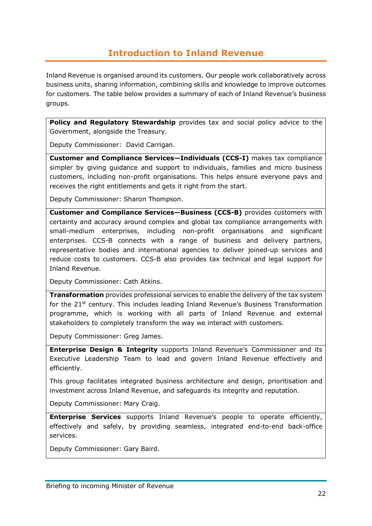## **Introduction to Inland Revenue**

<span id="page-21-0"></span>Inland Revenue is organised around its customers. Our people work collaboratively across business units, sharing information, combining skills and knowledge to improve outcomes for customers. The table below provides a summary of each of Inland Revenue's business groups.

**Policy and Regulatory Stewardship** provides tax and social policy advice to the Government, alongside the Treasury.

Deputy Commissioner: David Carrigan.

**Customer and Compliance Services—Individuals (CCS-I)** makes tax compliance simpler by giving guidance and support to individuals, families and micro business customers, including non-profit organisations. This helps ensure everyone pays and receives the right entitlements and gets it right from the start.

Deputy Commissioner: Sharon Thompson.

**Customer and Compliance Services—Business (CCS-B)** provides customers with certainty and accuracy around complex and global tax compliance arrangements with small-medium enterprises, including non-profit organisations and significant enterprises. CCS-B connects with a range of business and delivery partners, representative bodies and international agencies to deliver joined-up services and reduce costs to customers. CCS-B also provides tax technical and legal support for Inland Revenue.

Deputy Commissioner: Cath Atkins.

**Transformation** provides professional services to enable the delivery of the tax system for the  $21<sup>st</sup>$  century. This includes leading Inland Revenue's Business Transformation programme, which is working with all parts of Inland Revenue and external stakeholders to completely transform the way we interact with customers.

Deputy Commissioner: Greg James.

**Enterprise Design & Integrity** supports Inland Revenue's Commissioner and its Executive Leadership Team to lead and govern Inland Revenue effectively and efficiently.

This group facilitates integrated business architecture and design, prioritisation and investment across Inland Revenue, and safeguards its integrity and reputation.

Deputy Commissioner: Mary Craig.

**Enterprise Services** supports Inland Revenue's people to operate efficiently, effectively and safely, by providing seamless, integrated end-to-end back-office services.

Deputy Commissioner: Gary Baird.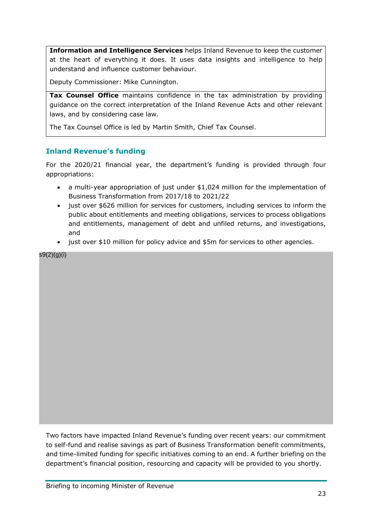**Information and Intelligence Services** helps Inland Revenue to keep the customer at the heart of everything it does. It uses data insights and intelligence to help understand and influence customer behaviour.

Deputy Commissioner: Mike Cunnington.

**Tax Counsel Office** maintains confidence in the tax administration by providing guidance on the correct interpretation of the Inland Revenue Acts and other relevant laws, and by considering case law.

The Tax Counsel Office is led by Martin Smith, Chief Tax Counsel.

## <span id="page-22-0"></span>**Inland Revenue's funding**

For the 2020/21 financial year, the department's funding is provided through four appropriations:

- a multi-year appropriation of just under \$1,024 million for the implementation of Business Transformation from 2017/18 to 2021/22
- just over \$626 million for services for customers, including services to inform the public about entitlements and meeting obligations, services to process obligations and entitlements, management of debt and unfiled returns, and investigations, and
- just over \$10 million for policy advice and \$5m for services to other agencies.

s9(2)(g)(i)

Two factors have impacted Inland Revenue's funding over recent years: our commitment to self-fund and realise savings as part of Business Transformation benefit commitments, and time-limited funding for specific initiatives coming to an end. A further briefing on the department's financial position, resourcing and capacity will be provided to you shortly.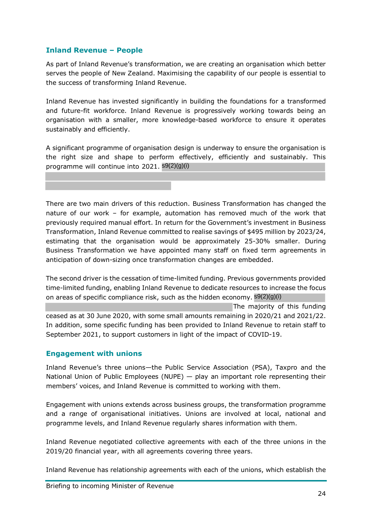## <span id="page-23-0"></span>**Inland Revenue – People**

As part of Inland Revenue's transformation, we are creating an organisation which better serves the people of New Zealand. Maximising the capability of our people is essential to the success of transforming Inland Revenue.

Inland Revenue has invested significantly in building the foundations for a transformed and future-fit workforce. Inland Revenue is progressively working towards being an organisation with a smaller, more knowledge-based workforce to ensure it operates sustainably and efficiently.

A significant programme of organisation design is underway to ensure the organisation is the right size and shape to perform effectively, efficiently and sustainably. This programme will continue into 2021. s9(2)(g)(i)

There are two main drivers of this reduction. Business Transformation has changed the nature of our work – for example, automation has removed much of the work that previously required manual effort. In return for the Government's investment in Business Transformation, Inland Revenue committed to realise savings of \$495 million by 2023/24, estimating that the organisation would be approximately 25-30% smaller. During Business Transformation we have appointed many staff on fixed term agreements in anticipation of down-sizing once transformation changes are embedded.

The second driver is the cessation of time-limited funding. Previous governments provided time-limited funding, enabling Inland Revenue to dedicate resources to increase the focus on areas of specific compliance risk, such as the hidden economy. 89(2)(g)(i)

The majority of this funding ceased as at 30 June 2020, with some small amounts remaining in 2020/21 and 2021/22. In addition, some specific funding has been provided to Inland Revenue to retain staff to September 2021, to support customers in light of the impact of COVID-19.

## <span id="page-23-1"></span>**Engagement with unions**

Inland Revenue's three unions—the Public Service Association (PSA), Taxpro and the National Union of Public Employees (NUPE) — play an important role representing their members' voices, and Inland Revenue is committed to working with them.

Engagement with unions extends across business groups, the transformation programme and a range of organisational initiatives. Unions are involved at local, national and programme levels, and Inland Revenue regularly shares information with them.

Inland Revenue negotiated collective agreements with each of the three unions in the 2019/20 financial year, with all agreements covering three years.

Inland Revenue has relationship agreements with each of the unions, which establish the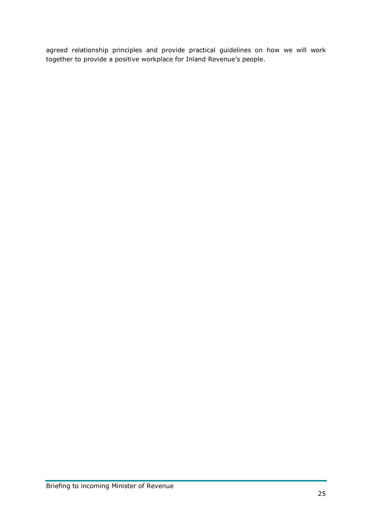agreed relationship principles and provide practical guidelines on how we will work together to provide a positive workplace for Inland Revenue's people.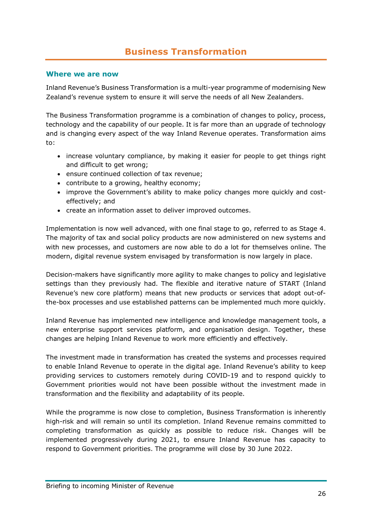## **Business Transformation**

#### <span id="page-25-1"></span><span id="page-25-0"></span>**Where we are now**

Inland Revenue's Business Transformation is a multi-year programme of modernising New Zealand's revenue system to ensure it will serve the needs of all New Zealanders.

The Business Transformation programme is a combination of changes to policy, process, technology and the capability of our people. It is far more than an upgrade of technology and is changing every aspect of the way Inland Revenue operates. Transformation aims to:

- increase voluntary compliance, by making it easier for people to get things right and difficult to get wrong;
- ensure continued collection of tax revenue;
- contribute to a growing, healthy economy;
- improve the Government's ability to make policy changes more quickly and costeffectively; and
- create an information asset to deliver improved outcomes.

Implementation is now well advanced, with one final stage to go, referred to as Stage 4. The majority of tax and social policy products are now administered on new systems and with new processes, and customers are now able to do a lot for themselves online. The modern, digital revenue system envisaged by transformation is now largely in place.

Decision-makers have significantly more agility to make changes to policy and legislative settings than they previously had. The flexible and iterative nature of START (Inland Revenue's new core platform) means that new products or services that adopt out-ofthe-box processes and use established patterns can be implemented much more quickly.

Inland Revenue has implemented new intelligence and knowledge management tools, a new enterprise support services platform, and organisation design. Together, these changes are helping Inland Revenue to work more efficiently and effectively.

The investment made in transformation has created the systems and processes required to enable Inland Revenue to operate in the digital age. Inland Revenue's ability to keep providing services to customers remotely during COVID-19 and to respond quickly to Government priorities would not have been possible without the investment made in transformation and the flexibility and adaptability of its people.

While the programme is now close to completion, Business Transformation is inherently high-risk and will remain so until its completion. Inland Revenue remains committed to completing transformation as quickly as possible to reduce risk. Changes will be implemented progressively during 2021, to ensure Inland Revenue has capacity to respond to Government priorities. The programme will close by 30 June 2022.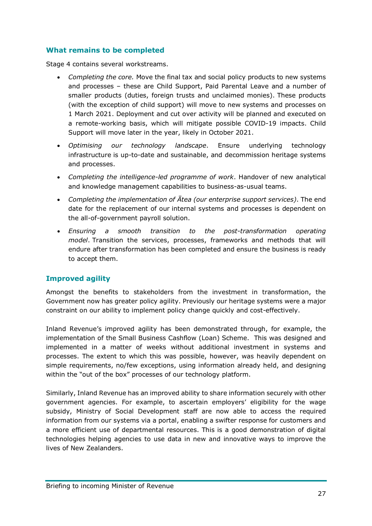## <span id="page-26-0"></span>**What remains to be completed**

Stage 4 contains several workstreams.

- *Completing the core.* Move the final tax and social policy products to new systems and processes – these are Child Support, Paid Parental Leave and a number of smaller products (duties, foreign trusts and unclaimed monies). These products (with the exception of child support) will move to new systems and processes on 1 March 2021. Deployment and cut over activity will be planned and executed on a remote-working basis, which will mitigate possible COVID-19 impacts. Child Support will move later in the year, likely in October 2021.
- *Optimising our technology landscape*. Ensure underlying technology infrastructure is up-to-date and sustainable, and decommission heritage systems and processes.
- *Completing the intelligence-led programme of work*. Handover of new analytical and knowledge management capabilities to business-as-usual teams.
- *Completing the implementation of Ātea (our enterprise support services)*. The end date for the replacement of our internal systems and processes is dependent on the all-of-government payroll solution.
- *Ensuring a smooth transition to the post-transformation operating model*. Transition the services, processes, frameworks and methods that will endure after transformation has been completed and ensure the business is ready to accept them.

## <span id="page-26-1"></span>**Improved agility**

Amongst the benefits to stakeholders from the investment in transformation, the Government now has greater policy agility. Previously our heritage systems were a major constraint on our ability to implement policy change quickly and cost-effectively.

Inland Revenue's improved agility has been demonstrated through, for example, the implementation of the Small Business Cashflow (Loan) Scheme. This was designed and implemented in a matter of weeks without additional investment in systems and processes. The extent to which this was possible, however, was heavily dependent on simple requirements, no/few exceptions, using information already held, and designing within the "out of the box" processes of our technology platform.

Similarly, Inland Revenue has an improved ability to share information securely with other government agencies. For example, to ascertain employers' eligibility for the wage subsidy, Ministry of Social Development staff are now able to access the required information from our systems via a portal, enabling a swifter response for customers and a more efficient use of departmental resources. This is a good demonstration of digital technologies helping agencies to use data in new and innovative ways to improve the lives of New Zealanders.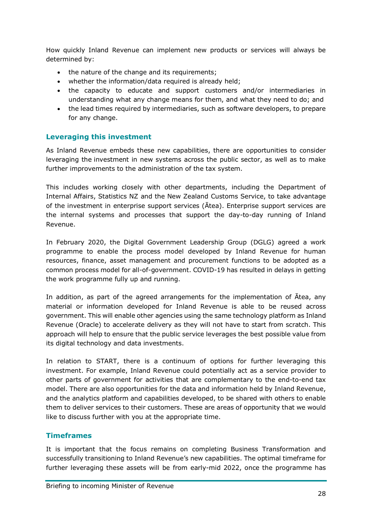How quickly Inland Revenue can implement new products or services will always be determined by:

- the nature of the change and its requirements;
- whether the information/data required is already held;
- the capacity to educate and support customers and/or intermediaries in understanding what any change means for them, and what they need to do; and
- the lead times required by intermediaries, such as software developers, to prepare for any change.

## <span id="page-27-0"></span>**Leveraging this investment**

As Inland Revenue embeds these new capabilities, there are opportunities to consider leveraging the investment in new systems across the public sector, as well as to make further improvements to the administration of the tax system.

This includes working closely with other departments, including the Department of Internal Affairs, Statistics NZ and the New Zealand Customs Service, to take advantage of the investment in enterprise support services (Ātea). Enterprise support services are the internal systems and processes that support the day-to-day running of Inland Revenue.

In February 2020, the Digital Government Leadership Group (DGLG) agreed a work programme to enable the process model developed by Inland Revenue for human resources, finance, asset management and procurement functions to be adopted as a common process model for all-of-government. COVID-19 has resulted in delays in getting the work programme fully up and running.

In addition, as part of the agreed arrangements for the implementation of Ātea, any material or information developed for Inland Revenue is able to be reused across government. This will enable other agencies using the same technology platform as Inland Revenue (Oracle) to accelerate delivery as they will not have to start from scratch. This approach will help to ensure that the public service leverages the best possible value from its digital technology and data investments.

In relation to START, there is a continuum of options for further leveraging this investment. For example, Inland Revenue could potentially act as a service provider to other parts of government for activities that are complementary to the end-to-end tax model. There are also opportunities for the data and information held by Inland Revenue, and the analytics platform and capabilities developed, to be shared with others to enable them to deliver services to their customers. These are areas of opportunity that we would like to discuss further with you at the appropriate time.

## <span id="page-27-1"></span>**Timeframes**

It is important that the focus remains on completing Business Transformation and successfully transitioning to Inland Revenue's new capabilities. The optimal timeframe for further leveraging these assets will be from early-mid 2022, once the programme has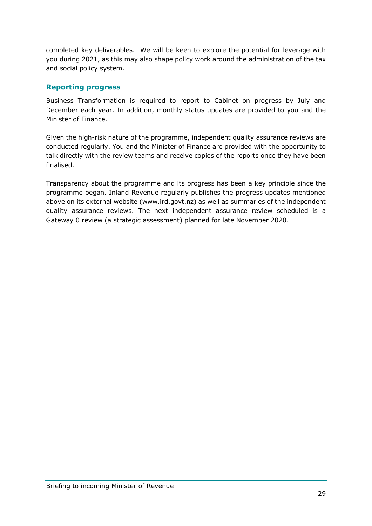completed key deliverables. We will be keen to explore the potential for leverage with you during 2021, as this may also shape policy work around the administration of the tax and social policy system.

## <span id="page-28-0"></span>**Reporting progress**

Business Transformation is required to report to Cabinet on progress by July and December each year. In addition, monthly status updates are provided to you and the Minister of Finance.

Given the high-risk nature of the programme, independent quality assurance reviews are conducted regularly. You and the Minister of Finance are provided with the opportunity to talk directly with the review teams and receive copies of the reports once they have been finalised.

Transparency about the programme and its progress has been a key principle since the programme began. Inland Revenue regularly publishes the progress updates mentioned above on its external website (www.ird.govt.nz) as well as summaries of the independent quality assurance reviews. The next independent assurance review scheduled is a Gateway 0 review (a strategic assessment) planned for late November 2020.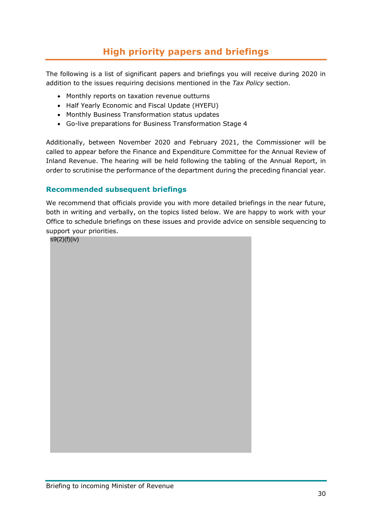## **High priority papers and briefings**

<span id="page-29-0"></span>The following is a list of significant papers and briefings you will receive during 2020 in addition to the issues requiring decisions mentioned in the *Tax Policy* section.

- Monthly reports on taxation revenue outturns
- Half Yearly Economic and Fiscal Update (HYEFU)
- Monthly Business Transformation status updates
- Go-live preparations for Business Transformation Stage 4

Additionally, between November 2020 and February 2021, the Commissioner will be called to appear before the Finance and Expenditure Committee for the Annual Review of Inland Revenue. The hearing will be held following the tabling of the Annual Report, in order to scrutinise the performance of the department during the preceding financial year.

## <span id="page-29-1"></span>**Recommended subsequent briefings**

We recommend that officials provide you with more detailed briefings in the near future, both in writing and verbally, on the topics listed below. We are happy to work with your Office to schedule briefings on these issues and provide advice on sensible sequencing to support your priorities.

s9(2)(f)(iv)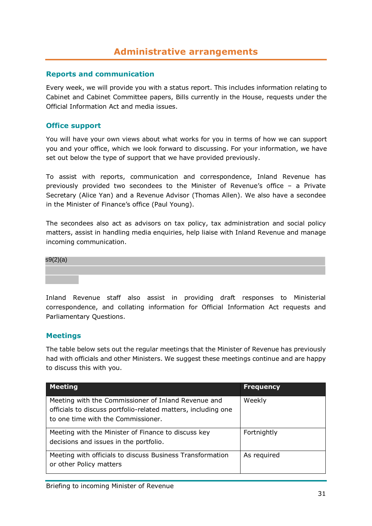## **Administrative arrangements**

#### <span id="page-30-1"></span><span id="page-30-0"></span>**Reports and communication**

Every week, we will provide you with a status report. This includes information relating to Cabinet and Cabinet Committee papers, Bills currently in the House, requests under the Official Information Act and media issues.

#### <span id="page-30-2"></span>**Office support**

You will have your own views about what works for you in terms of how we can support you and your office, which we look forward to discussing. For your information, we have set out below the type of support that we have provided previously.

To assist with reports, communication and correspondence, Inland Revenue has previously provided two secondees to the Minister of Revenue's office – a Private Secretary (Alice Yan) and a Revenue Advisor (Thomas Allen). We also have a secondee in the Minister of Finance's office (Paul Young).

The secondees also act as advisors on tax policy, tax administration and social policy matters, assist in handling media enquiries, help liaise with Inland Revenue and manage incoming communication.



Inland Revenue staff also assist in providing draft responses to Ministerial correspondence, and collating information for Official Information Act requests and Parliamentary Questions.

## <span id="page-30-3"></span>**Meetings**

The table below sets out the regular meetings that the Minister of Revenue has previously had with officials and other Ministers. We suggest these meetings continue and are happy to discuss this with you.

| <b>Meeting</b>                                                                                                                                             | <b>Frequency</b> |
|------------------------------------------------------------------------------------------------------------------------------------------------------------|------------------|
| Meeting with the Commissioner of Inland Revenue and<br>officials to discuss portfolio-related matters, including one<br>to one time with the Commissioner. | Weekly           |
| Meeting with the Minister of Finance to discuss key<br>decisions and issues in the portfolio.                                                              | Fortnightly      |
| Meeting with officials to discuss Business Transformation<br>or other Policy matters                                                                       | As required      |